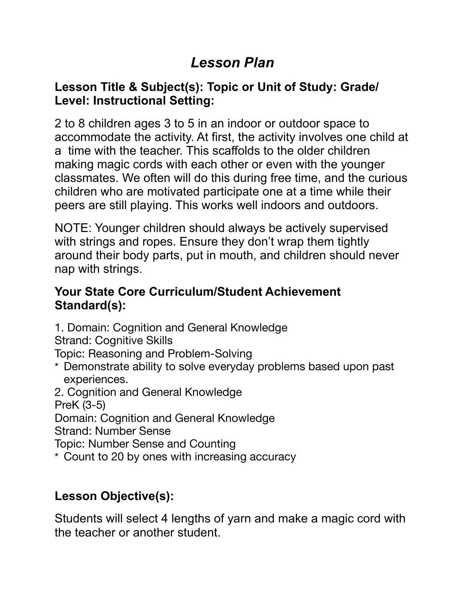# *Lesson Plan*

#### **Lesson Title & Subject(s): Topic or Unit of Study: Grade/ Level: Instructional Setting:**

2 to 8 children ages 3 to 5 in an indoor or outdoor space to accommodate the activity. At first, the activity involves one child at a time with the teacher. This scaffolds to the older children making magic cords with each other or even with the younger classmates. We often will do this during free time, and the curious children who are motivated participate one at a time while their peers are still playing. This works well indoors and outdoors.

NOTE: Younger children should always be actively supervised with strings and ropes. Ensure they don't wrap them tightly around their body parts, put in mouth, and children should never nap with strings.

#### **Your State Core Curriculum/Student Achievement Standard(s):**

1. Domain: Cognition and General Knowledge

Strand: Cognitive Skills

Topic: Reasoning and Problem-Solving

\* Demonstrate ability to solve everyday problems based upon past experiences.

2. Cognition and General Knowledge

PreK (3-5)

Domain: Cognition and General Knowledge

Strand: Number Sense

Topic: Number Sense and Counting

\* Count to 20 by ones with increasing accuracy

# **Lesson Objective(s):**

Students will select 4 lengths of yarn and make a magic cord with the teacher or another student.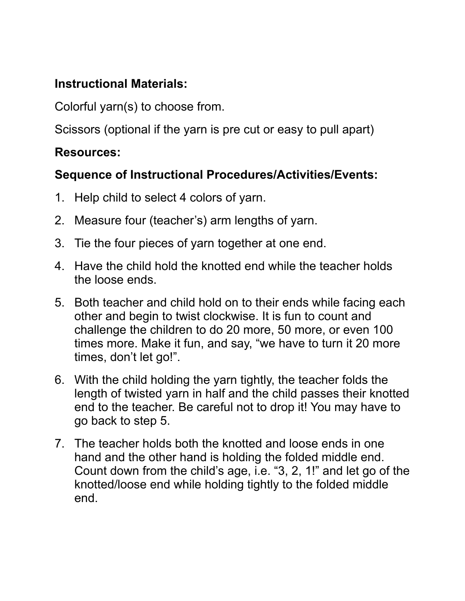## **Instructional Materials:**

Colorful yarn(s) to choose from.

Scissors (optional if the yarn is pre cut or easy to pull apart)

#### **Resources:**

#### **Sequence of Instructional Procedures/Activities/Events:**

- 1. Help child to select 4 colors of yarn.
- 2. Measure four (teacher's) arm lengths of yarn.
- 3. Tie the four pieces of yarn together at one end.
- 4. Have the child hold the knotted end while the teacher holds the loose ends.
- 5. Both teacher and child hold on to their ends while facing each other and begin to twist clockwise. It is fun to count and challenge the children to do 20 more, 50 more, or even 100 times more. Make it fun, and say, "we have to turn it 20 more times, don't let go!".
- 6. With the child holding the yarn tightly, the teacher folds the length of twisted yarn in half and the child passes their knotted end to the teacher. Be careful not to drop it! You may have to go back to step 5.
- 7. The teacher holds both the knotted and loose ends in one hand and the other hand is holding the folded middle end. Count down from the child's age, i.e. "3, 2, 1!" and let go of the knotted/loose end while holding tightly to the folded middle end.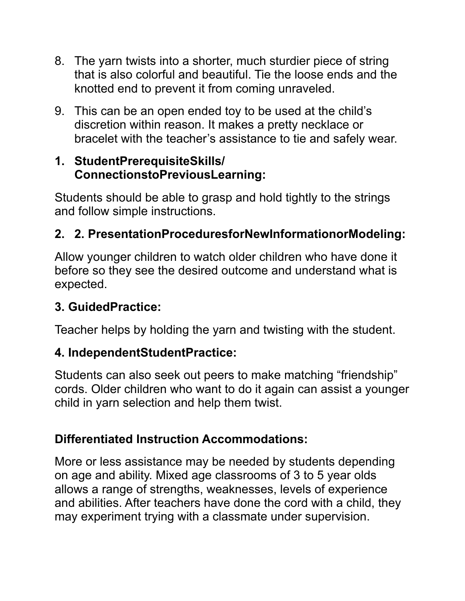- 8. The yarn twists into a shorter, much sturdier piece of string that is also colorful and beautiful. Tie the loose ends and the knotted end to prevent it from coming unraveled.
- 9. This can be an open ended toy to be used at the child's discretion within reason. It makes a pretty necklace or bracelet with the teacher's assistance to tie and safely wear.

#### **1. StudentPrerequisiteSkills/ ConnectionstoPreviousLearning:**

Students should be able to grasp and hold tightly to the strings and follow simple instructions.

# **2. 2. PresentationProceduresforNewInformationorModeling:**

Allow younger children to watch older children who have done it before so they see the desired outcome and understand what is expected.

## **3. GuidedPractice:**

Teacher helps by holding the yarn and twisting with the student.

#### **4. IndependentStudentPractice:**

Students can also seek out peers to make matching "friendship" cords. Older children who want to do it again can assist a younger child in yarn selection and help them twist.

## **Differentiated Instruction Accommodations:**

More or less assistance may be needed by students depending on age and ability. Mixed age classrooms of 3 to 5 year olds allows a range of strengths, weaknesses, levels of experience and abilities. After teachers have done the cord with a child, they may experiment trying with a classmate under supervision.